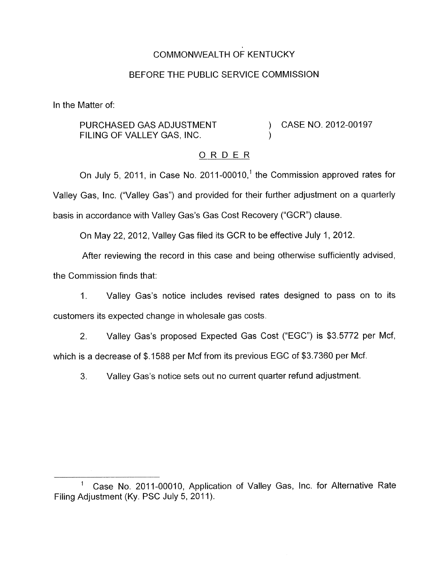# COMMONWEALTH OF KENTUCKY

## BEFORE THE PUBLIC SERVICE COMMISSION

In the Matter of:

PURCHASED GAS ADJUSTMENT FILING OF VALLEY GAS, INC.

) CASE NO. 2012-00197

# ORDER

)

On July 5, 2011, in Case No. 2011-00010,' the Commission approved rates for Valley Gas, Inc. ("Valley Gas") and provided for their further adjustment on a quarterly basis in accordance with Valley Gas's Gas Cost Recovery ("GCR") clause.

On May 22, 2012, Valley Gas filed its GCR to be effective July 1, 2012.

After reviewing the record in this case and being otherwise sufficiently advised, the Commission finds that:

1. Valley Gas's notice includes revised rates designed to pass on to its customers its expected change in wholesale gas costs.

2. Valley Gas's proposed Expected Gas Cost ("EGC") is \$3.5772 per Mcf, which is a decrease of \$.1588 per Mcf from its previous EGC of \$3.7360 per Mcf.

3. Valley Gas's notice sets out no current quarter refund adjustment.

Case No. 2011-00010, Application of Valley Gas, Inc. for Alternative Rate Filing Adjustment (Ky. PSC July 5, 2011).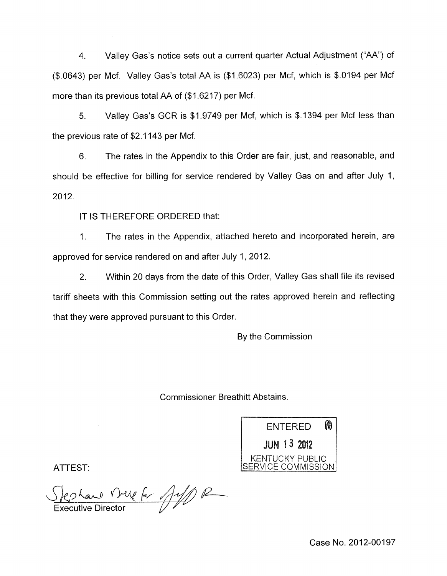4. Valley Gas's notice sets out a current quarter Actual Adjustment ("AA") of (\$.0643) per Mcf. Valley Gas's total AA is (\$1.6023) per Mcf, which is \$.0194 per Mcf more than its previous total AA of (\$1.6217) per Mcf.

5. Valley Gas's GCR is \$1.9749 per Mcf, which is \$.I394 per Mcf less than the previous rate of \$2.1 143 per Mcf.

6. The rates in the Appendix to this Order are fair, just, and reasonable, and should be effective for billing for service rendered by Valley Gas on and after July 1, 2012.

IT IS THEREFORE ORDERED that:

1. The rates in the Appendix, attached hereto and incorporated herein, are approved for service rendered on and after July 1, 2012.

2. Within 20 days from the date of this Order, Valley Gas shall file its revised tariff sheets with this Commission setting out the rates approved herein and reflecting that they were approved pursuant to this Order.

By the Commission

Commissioner Breathitt Abstains.



ATTEST:

es Land Vreig for Jeff) R

Case No. 2012-00197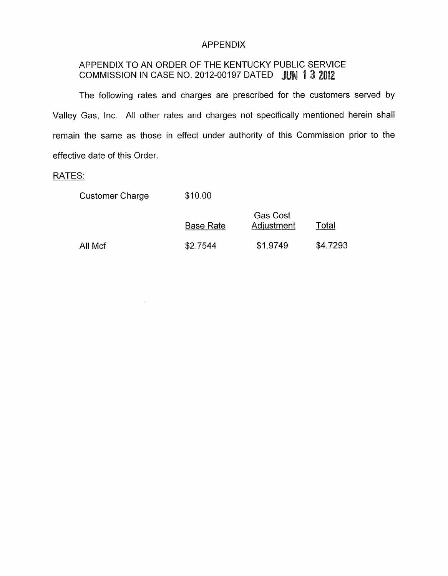#### APPENDIX

# APPENDIX TO AN ORDER OF THE KENTUCKY PUBLIC SERVICE COMMISSION IN CASE NO. 2012-00197 DATED

The following rates and charges are prescribed for the customers served by Valley Gas, Inc. All other rates and charges not specifically mentioned herein shall remain the same as those in effect under authority of this Commission prior to the effective date of this Order.

### RATES:

| <b>Customer Charge</b> | \$10.00          |                               |          |
|------------------------|------------------|-------------------------------|----------|
|                        | <b>Base Rate</b> | <b>Gas Cost</b><br>Adjustment | Total    |
| All Mcf                | \$2.7544         | \$1.9749                      | \$4.7293 |

 $\sim$   $\sim$